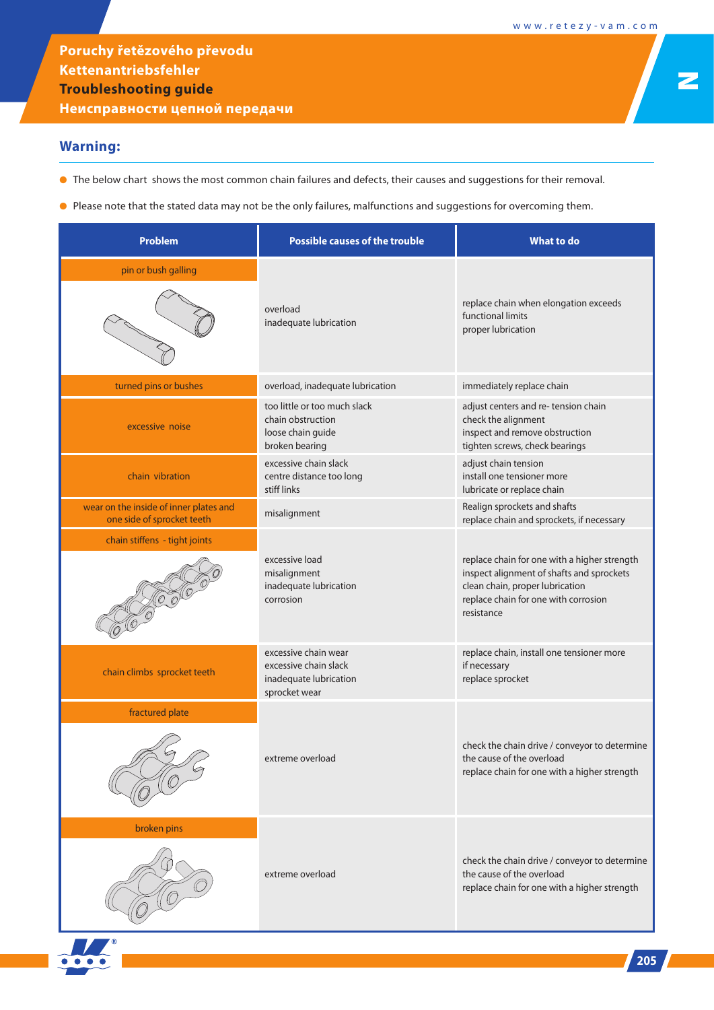N

**Poruchy řetězového převodu Kettenantriebsfehler Troubleshooting guide**

**Неисправности цепной передачи**

## **Warning:**

- The below chart shows the most common chain failures and defects, their causes and suggestions for their removal.
- Please note that the stated data may not be the only failures, malfunctions and suggestions for overcoming them.

| <b>Problem</b>                                                       | <b>Possible causes of the trouble</b>                                                    | <b>What to do</b>                                                                                                                                                                  |
|----------------------------------------------------------------------|------------------------------------------------------------------------------------------|------------------------------------------------------------------------------------------------------------------------------------------------------------------------------------|
| pin or bush galling                                                  | overload<br>inadequate lubrication                                                       | replace chain when elongation exceeds<br>functional limits<br>proper lubrication                                                                                                   |
| turned pins or bushes                                                | overload, inadequate lubrication                                                         | immediately replace chain                                                                                                                                                          |
| excessive noise                                                      | too little or too much slack<br>chain obstruction<br>loose chain guide<br>broken bearing | adjust centers and re-tension chain<br>check the alignment<br>inspect and remove obstruction<br>tighten screws, check bearings                                                     |
| chain vibration                                                      | excessive chain slack<br>centre distance too long<br>stiff links                         | adjust chain tension<br>install one tensioner more<br>lubricate or replace chain                                                                                                   |
| wear on the inside of inner plates and<br>one side of sprocket teeth | misalignment                                                                             | Realign sprockets and shafts<br>replace chain and sprockets, if necessary                                                                                                          |
| chain stiffens - tight joints                                        |                                                                                          |                                                                                                                                                                                    |
|                                                                      | excessive load<br>misalignment<br>inadequate lubrication<br>corrosion                    | replace chain for one with a higher strength<br>inspect alignment of shafts and sprockets<br>clean chain, proper lubrication<br>replace chain for one with corrosion<br>resistance |
| chain climbs sprocket teeth                                          | excessive chain wear<br>excessive chain slack<br>inadequate lubrication<br>sprocket wear | replace chain, install one tensioner more<br>if necessary<br>replace sprocket                                                                                                      |
| fractured plate                                                      |                                                                                          |                                                                                                                                                                                    |
|                                                                      | extreme overload                                                                         | check the chain drive / conveyor to determine<br>the cause of the overload<br>replace chain for one with a higher strength                                                         |
| broken pins                                                          | extreme overload                                                                         | check the chain drive / conveyor to determine<br>the cause of the overload<br>replace chain for one with a higher strength                                                         |